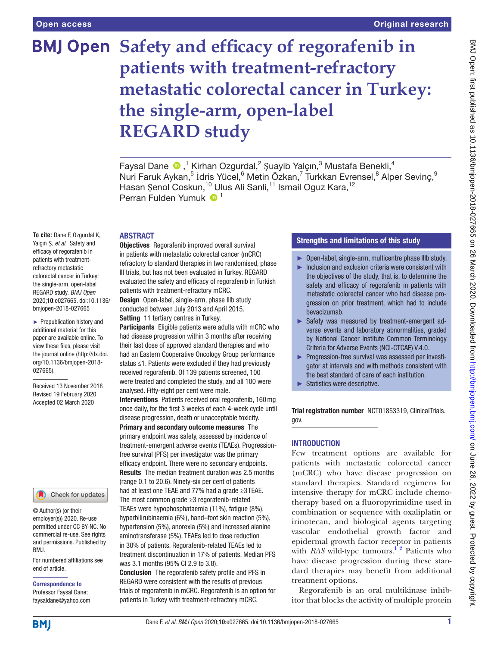# **BMJ Open Safety and efficacy of regorafenib in patients with treatment-refractory metastatic colorectal cancer in Turkey: the single-arm, open-label REGARD study**

FaysalDane  $\bigcirc$ ,<sup>1</sup> Kirhan Ozgurdal,<sup>2</sup> Şuayib Yalçın,<sup>3</sup> Mustafa Benekli,<sup>4</sup> Nuri Faruk Aykan,<sup>5</sup> İdris Yücel,<sup>6</sup> Metin Özkan,<sup>7</sup> Turkkan Evrensel,<sup>8</sup> Alper Sevinç,  $^\mathrm{s}$ Hasan Şenol Coskun,<sup>10</sup> Ulus Ali Sanli,<sup>11</sup> Ismail Oguz Kara,<sup>12</sup> Perran Fulden Yumuk <sup>1</sup>

### **ABSTRACT**

**To cite:** Dane F, Ozgurdal K, Yalçın Ş, *et al*. Safety and efficacy of regorafenib in patients with treatmentrefractory metastatic colorectal cancer in Turkey: the single-arm, open-label REGARD study. *BMJ Open* 2020;10:e027665. doi:10.1136/ bmjopen-2018-027665

► Prepublication history and additional material for this paper are available online. To view these files, please visit the journal online (http://dx.doi. org/10.1136/bmjopen-2018- 027665).

Received 13 November 2018 Revised 19 February 2020 Accepted 02 March 2020



© Author(s) (or their employer(s)) 2020. Re-use permitted under CC BY-NC. No commercial re-use. See rights and permissions. Published by BMJ.

For numbered affiliations see end of article.

Correspondence to Professor Faysal Dane; faysaldane@yahoo.com

**Objectives** Regorafenib improved overall survival in patients with metastatic colorectal cancer (mCRC) refractory to standard therapies in two randomised, phase III trials, but has not been evaluated in Turkey. REGARD evaluated the safety and efficacy of regorafenib in Turkish patients with treatment-refractory mCRC.

**Design** Open-label, single-arm, phase IIIb study conducted between July 2013 and April 2015. Setting 11 tertiary centres in Turkey.

Participants Eligible patients were adults with mCRC who had disease progression within 3 months after receiving their last dose of approved standard therapies and who had an Eastern Cooperative Oncology Group performance status ≤1. Patients were excluded if they had previously received regorafenib. Of 139 patients screened, 100 were treated and completed the study, and all 100 were analysed. Fifty-eight per cent were male.

Interventions Patients received oral regorafenib, 160mg once daily, for the first 3 weeks of each 4-week cycle until disease progression, death or unacceptable toxicity.

Primary and secondary outcome measures The primary endpoint was safety, assessed by incidence of treatment-emergent adverse events (TEAEs). Progressionfree survival (PFS) per investigator was the primary efficacy endpoint. There were no secondary endpoints. Results The median treatment duration was 2.5 months (range 0.1 to 20.6). Ninety-six per cent of patients had at least one TEAE and 77% had a grade ≥3TEAE. The most common grade ≥3 regorafenib-related TEAEs were hypophosphataemia (11%), fatigue (8%), hyperbilirubinaemia (6%), hand–foot skin reaction (5%), hypertension (5%), anorexia (5%) and increased alanine aminotransferase (5%). TEAEs led to dose reduction in 30% of patients. Regorafenib-related TEAEs led to treatment discontinuation in 17% of patients. Median PFS was 3.1 months (95% CI 2.9 to 3.8).

Conclusion The regorafenib safety profile and PFS in REGARD were consistent with the results of previous trials of regorafenib in mCRC. Regorafenib is an option for patients in Turkey with treatment-refractory mCRC.

# Strengths and limitations of this study

- ► Open-label, single-arm, multicentre phase IIIb study.
- ► Inclusion and exclusion criteria were consistent with the objectives of the study, that is, to determine the safety and efficacy of regorafenib in patients with metastatic colorectal cancer who had disease progression on prior treatment, which had to include bevacizumab.
- ► Safety was measured by treatment-emergent adverse events and laboratory abnormalities, graded by National Cancer Institute Common Terminology Criteria for Adverse Events (NCI-CTCAE) V.4.0.
- ► Progression-free survival was assessed per investigator at intervals and with methods consistent with the best standard of care of each institution.
- ► Statistics were descriptive.

Trial registration number [NCT01853319,](NCT01853319) ClinicalTrials. gov.

# **INTRODUCTION**

Few treatment options are available for patients with metastatic colorectal cancer (mCRC) who have disease progression on standard therapies. Standard regimens for intensive therapy for mCRC include chemotherapy based on a fluoropyrimidine used in combination or sequence with oxaliplatin or irinotecan, and biological agents targeting vascular endothelial growth factor and epidermal growth factor receptor in patients with *RAS* wild-type tumours.<sup>12</sup> Patients who have disease progression during these standard therapies may benefit from additional treatment options.

Regorafenib is an oral multikinase inhibitor that blocks the activity of multiple protein

**BMI**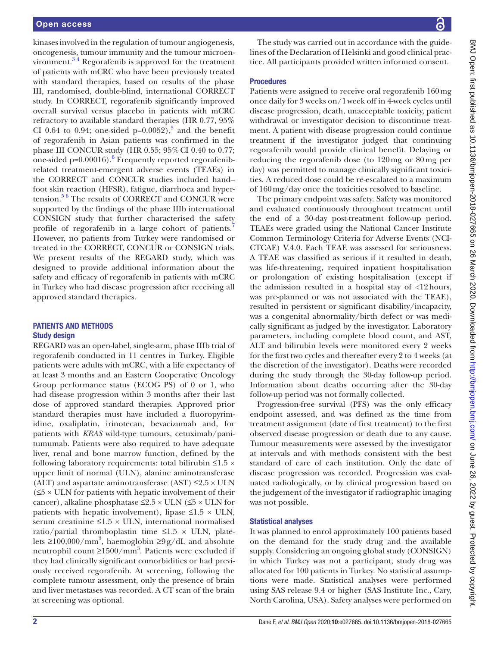#### Open access

kinases involved in the regulation of tumour angiogenesis, oncogenesis, tumour immunity and the tumour microenvironment[.3 4](#page-7-1) Regorafenib is approved for the treatment of patients with mCRC who have been previously treated with standard therapies, based on results of the phase III, randomised, double-blind, international CORRECT study. In CORRECT, regorafenib significantly improved overall survival versus placebo in patients with mCRC refractory to available standard therapies (HR 0.77, 95% CI 0.64 to 0.94; one-sided  $p=0.0052$  $p=0.0052$  $p=0.0052$ , and the benefit of regorafenib in Asian patients was confirmed in the phase III CONCUR study (HR 0.55; 95%CI 0.40 to 0.77; one-sided  $p=0.00016$ ).  $^{6}$  Frequently reported regorafenibrelated treatment-emergent adverse events (TEAEs) in the CORRECT and CONCUR studies included hand– foot skin reaction (HFSR), fatigue, diarrhoea and hyper-tension.<sup>[5 6](#page-7-2)</sup> The results of CORRECT and CONCUR were supported by the findings of the phase IIIb international CONSIGN study that further characterised the safety profile of regorafenib in a large cohort of patients.<sup>[7](#page-7-4)</sup> However, no patients from Turkey were randomised or treated in the CORRECT, CONCUR or CONSIGN trials. We present results of the REGARD study, which was designed to provide additional information about the safety and efficacy of regorafenib in patients with mCRC in Turkey who had disease progression after receiving all approved standard therapies.

# Patients and methods Study design

REGARD was an open-label, single-arm, phase IIIb trial of regorafenib conducted in 11 centres in Turkey. Eligible patients were adults with mCRC, with a life expectancy of at least 3 months and an Eastern Cooperative Oncology Group performance status (ECOG PS) of 0 or 1, who had disease progression within 3 months after their last dose of approved standard therapies. Approved prior standard therapies must have included a fluoropyrimidine, oxaliplatin, irinotecan, bevacizumab and, for patients with *KRAS* wild-type tumours, cetuximab/panitumumab. Patients were also required to have adequate liver, renal and bone marrow function, defined by the following laboratory requirements: total bilirubin  $\leq 1.5 \times$ upper limit of normal (ULN), alanine aminotransferase (ALT) and aspartate aminotransferase (AST)  $\leq 2.5 \times \text{ULN}$  $(S5 \times ULN)$  for patients with hepatic involvement of their cancer), alkaline phosphatase  $\leq 2.5 \times$  ULN  $(\leq 5 \times$  ULN for patients with hepatic involvement), lipase  $\leq 1.5 \times \text{ULN}$ , serum creatinine  $\leq 1.5 \times$  ULN, international normalised ratio/partial thromboplastin time  $\leq 1.5 \times$  ULN, platelets  $\geq$ 100,000/mm<sup>3</sup>, haemoglobin  $\geq$ 9g/dL and absolute neutrophil count  $\geq 1500/\text{mm}^3$ . Patients were excluded if they had clinically significant comorbidities or had previously received regorafenib. At screening, following the complete tumour assessment, only the presence of brain and liver metastases was recorded. A CT scan of the brain at screening was optional.

The study was carried out in accordance with the guidelines of the Declaration of Helsinki and good clinical practice. All participants provided written informed consent.

### Procedures

Patients were assigned to receive oral regorafenib 160mg once daily for 3 weeks on/1week off in 4-week cycles until disease progression, death, unacceptable toxicity, patient withdrawal or investigator decision to discontinue treatment. A patient with disease progression could continue treatment if the investigator judged that continuing regorafenib would provide clinical benefit. Delaying or reducing the regorafenib dose (to 120mg or 80mg per day) was permitted to manage clinically significant toxicities. A reduced dose could be re-escalated to a maximum of 160mg/day once the toxicities resolved to baseline.

The primary endpoint was safety. Safety was monitored and evaluated continuously throughout treatment until the end of a 30-day post-treatment follow-up period. TEAEs were graded using the National Cancer Institute Common Terminology Criteria for Adverse Events (NCI-CTCAE) V.4.0. Each TEAE was assessed for seriousness. A TEAE was classified as serious if it resulted in death, was life-threatening, required inpatient hospitalisation or prolongation of existing hospitalisation (except if the admission resulted in a hospital stay of <12hours, was pre-planned or was not associated with the TEAE), resulted in persistent or significant disability/incapacity, was a congenital abnormality/birth defect or was medically significant as judged by the investigator. Laboratory parameters, including complete blood count, and AST, ALT and bilirubin levels were monitored every 2 weeks for the first two cycles and thereafter every 2 to 4 weeks (at the discretion of the investigator). Deaths were recorded during the study through the 30-day follow-up period. Information about deaths occurring after the 30-day follow-up period was not formally collected.

Progression-free survival (PFS) was the only efficacy endpoint assessed, and was defined as the time from treatment assignment (date of first treatment) to the first observed disease progression or death due to any cause. Tumour measurements were assessed by the investigator at intervals and with methods consistent with the best standard of care of each institution. Only the date of disease progression was recorded. Progression was evaluated radiologically, or by clinical progression based on the judgement of the investigator if radiographic imaging was not possible.

#### Statistical analyses

It was planned to enrol approximately 100 patients based on the demand for the study drug and the available supply. Considering an ongoing global study (CONSIGN) in which Turkey was not a participant, study drug was allocated for 100 patients in Turkey. No statistical assumptions were made. Statistical analyses were performed using SAS release 9.4 or higher (SAS Institute Inc., Cary, North Carolina, USA). Safety analyses were performed on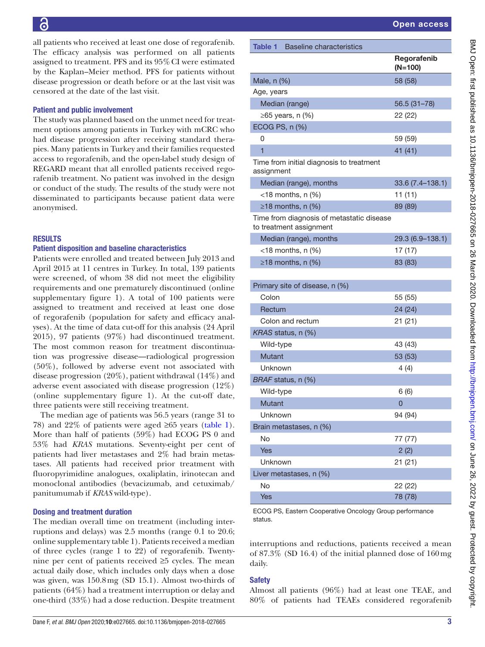Ō

all patients who received at least one dose of regorafenib. The efficacy analysis was performed on all patients assigned to treatment. PFS and its 95%CI were estimated by the Kaplan–Meier method. PFS for patients without disease progression or death before or at the last visit was censored at the date of the last visit.

# Patient and public involvement

The study was planned based on the unmet need for treatment options among patients in Turkey with mCRC who had disease progression after receiving standard therapies. Many patients in Turkey and their families requested access to regorafenib, and the open-label study design of REGARD meant that all enrolled patients received regorafenib treatment. No patient was involved in the design or conduct of the study. The results of the study were not disseminated to participants because patient data were anonymised.

#### **RESULTS**

### Patient disposition and baseline characteristics

Patients were enrolled and treated between July 2013 and April 2015 at 11 centres in Turkey. In total, 139 patients were screened, of whom 38 did not meet the eligibility requirements and one prematurely discontinued [\(online](https://dx.doi.org/10.1136/bmjopen-2018-027665) [supplementary figure 1](https://dx.doi.org/10.1136/bmjopen-2018-027665)). A total of 100 patients were assigned to treatment and received at least one dose of regorafenib (population for safety and efficacy analyses). At the time of data cut-off for this analysis (24 April 2015), 97 patients (97%) had discontinued treatment. The most common reason for treatment discontinuation was progressive disease—radiological progression (50%), followed by adverse event not associated with disease progression (20%), patient withdrawal (14%) and adverse event associated with disease progression (12%) ([online supplementary figure 1\)](https://dx.doi.org/10.1136/bmjopen-2018-027665). At the cut-off date, three patients were still receiving treatment.

The median age of patients was 56.5 years (range 31 to 78) and 22% of patients were aged ≥65 years [\(table](#page-2-0) 1). More than half of patients (59%) had ECOG PS 0 and 53% had *KRAS* mutations. Seventy-eight per cent of patients had liver metastases and 2% had brain metastases. All patients had received prior treatment with fluoropyrimidine analogues, oxaliplatin, irinotecan and monoclonal antibodies (bevacizumab, and cetuximab/ panitumumab if *KRAS* wild-type).

#### Dosing and treatment duration

The median overall time on treatment (including interruptions and delays) was 2.5 months (range 0.1 to 20.6; [online supplementary table 1\)](https://dx.doi.org/10.1136/bmjopen-2018-027665). Patients received a median of three cycles (range 1 to 22) of regorafenib. Twentynine per cent of patients received ≥5 cycles. The mean actual daily dose, which includes only days when a dose was given, was 150.8mg (SD 15.1). Almost two-thirds of patients (64%) had a treatment interruption or delay and one-third (33%) had a dose reduction. Despite treatment

<span id="page-2-0"></span>

|                                                                      | $(N=100)$        |
|----------------------------------------------------------------------|------------------|
| Male, n (%)                                                          | 58 (58)          |
| Age, years                                                           |                  |
| Median (range)                                                       | 56.5 (31-78)     |
| $\geq$ 65 years, n (%)                                               | 22 (22)          |
| ECOG PS, n (%)                                                       |                  |
| 0                                                                    | 59 (59)          |
| 1                                                                    | 41 (41)          |
| Time from initial diagnosis to treatment<br>assignment               |                  |
| Median (range), months                                               | 33.6 (7.4-138.1) |
| $<$ 18 months, n (%)                                                 | 11(11)           |
| ≥18 months, n $%$                                                    | 89 (89)          |
| Time from diagnosis of metastatic disease<br>to treatment assignment |                  |
| Median (range), months                                               | 29.3 (6.9-138.1) |
| $<$ 18 months, n $%$                                                 | 17(17)           |
| ≥18 months, n $%$                                                    | 83 (83)          |
|                                                                      |                  |
| Primary site of disease, n (%)                                       |                  |
| Colon                                                                | 55 (55)          |
| Rectum                                                               | 24 (24)          |
| Colon and rectum                                                     | 21 (21)          |
| <i>KRAS</i> status, n (%)                                            |                  |
| Wild-type                                                            | 43 (43)          |
| <b>Mutant</b>                                                        | 53 (53)          |
| Unknown                                                              | 4(4)             |
| <i>BRAF</i> status, n (%)                                            |                  |
| Wild-type                                                            | 6 (6)            |
| Mutant                                                               | 0                |
| Unknown                                                              | 94 (94)          |
| Brain metastases, n (%)                                              |                  |
| No                                                                   | 77 (77)          |
| <b>Yes</b>                                                           | 2(2)             |
| Unknown                                                              | 21 (21)          |
| Liver metastases, n (%)                                              |                  |
| No                                                                   | 22 (22)          |
| <b>Yes</b>                                                           | 78 (78)          |

interruptions and reductions, patients received a mean of 87.3% (SD 16.4) of the initial planned dose of 160mg daily.

#### Safety

l

I

l

Almost all patients (96%) had at least one TEAE, and 80% of patients had TEAEs considered regorafenib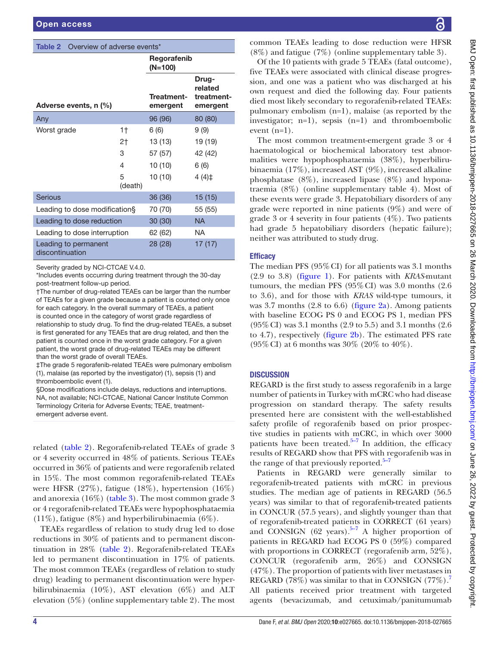#### <span id="page-3-0"></span>Table 2 Overview of adverse events<sup>\*</sup>

|                                         |              | Regorafenib<br>$(N=100)$      |                                            |  |
|-----------------------------------------|--------------|-------------------------------|--------------------------------------------|--|
| Adverse events, n (%)                   |              | <b>Treatment-</b><br>emergent | Drug-<br>related<br>treatment-<br>emergent |  |
| Any                                     |              | 96 (96)                       | 80 (80)                                    |  |
| Worst grade                             | 1†           | 6(6)                          | 9(9)                                       |  |
|                                         | 2†           | 13 (13)                       | 19 (19)                                    |  |
|                                         | 3            | 57 (57)                       | 42 (42)                                    |  |
|                                         | 4            | 10 (10)                       | 6(6)                                       |  |
|                                         | 5<br>(death) | 10 (10)                       | $4(4)$ $\ddagger$                          |  |
| <b>Serious</b>                          |              | 36 (36)                       | 15(15)                                     |  |
| Leading to dose modification§           |              | 70 (70)                       | 55 (55)                                    |  |
| Leading to dose reduction               |              | 30(30)                        | <b>NA</b>                                  |  |
| Leading to dose interruption            |              | 62 (62)                       | NA.                                        |  |
| Leading to permanent<br>discontinuation |              | 28 (28)                       | 17 (17)                                    |  |

Severity graded by NCI-CTCAE V.4.0.

\*Includes events occurring during treatment through the 30-day post-treatment follow-up period.

†The number of drug-related TEAEs can be larger than the number of TEAEs for a given grade because a patient is counted only once for each category. In the overall summary of TEAEs, a patient is counted once in the category of worst grade regardless of relationship to study drug. To find the drug-related TEAEs, a subset is first generated for any TEAEs that are drug related, and then the patient is counted once in the worst grade category. For a given patient, the worst grade of drug-related TEAEs may be different than the worst grade of overall TEAEs.

‡The grade 5 regorafenib-related TEAEs were pulmonary embolism (1), malaise (as reported by the investigator) (1), sepsis (1) and thromboembolic event (1).

§Dose modifications include delays, reductions and interruptions. NA, not available; NCI-CTCAE, National Cancer Institute Common Terminology Criteria for Adverse Events; TEAE, treatmentemergent adverse event.

related [\(table](#page-3-0) 2). Regorafenib-related TEAEs of grade 3 or 4 severity occurred in 48% of patients. Serious TEAEs occurred in 36% of patients and were regorafenib related in 15%. The most common regorafenib-related TEAEs were HFSR (27%), fatigue (18%), hypertension (16%) and anorexia (16%) [\(table](#page-4-0) 3). The most common grade 3 or 4 regorafenib-related TEAEs were hypophosphataemia  $(11\%)$ , fatigue  $(8\%)$  and hyperbilirubinaemia  $(6\%)$ .

TEAEs regardless of relation to study drug led to dose reductions in 30% of patients and to permanent discontinuation in 28% [\(table](#page-3-0) 2). Regorafenib-related TEAEs led to permanent discontinuation in 17% of patients. The most common TEAEs (regardless of relation to study drug) leading to permanent discontinuation were hyperbilirubinaemia (10%), AST elevation (6%) and ALT elevation (5%) ([online supplementary table 2](https://dx.doi.org/10.1136/bmjopen-2018-027665)). The most

common TEAEs leading to dose reduction were HFSR (8%) and fatigue (7%) [\(online supplementary table 3\)](https://dx.doi.org/10.1136/bmjopen-2018-027665).

Of the 10 patients with grade 5 TEAEs (fatal outcome), five TEAEs were associated with clinical disease progression, and one was a patient who was discharged at his own request and died the following day. Four patients died most likely secondary to regorafenib-related TEAEs: pulmonary embolism (n=1), malaise (as reported by the investigator; n=1), sepsis (n=1) and thromboembolic event (n=1).

The most common treatment-emergent grade 3 or 4 haematological or biochemical laboratory test abnormalities were hypophosphataemia (38%), hyperbilirubinaemia (17%), increased AST (9%), increased alkaline phosphatase (8%), increased lipase (8%) and hyponatraemia (8%) [\(online supplementary table 4](https://dx.doi.org/10.1136/bmjopen-2018-027665)). Most of these events were grade 3. Hepatobiliary disorders of any grade were reported in nine patients (9%) and were of grade 3 or 4 severity in four patients  $(4\%)$ . Two patients had grade 5 hepatobiliary disorders (hepatic failure); neither was attributed to study drug.

### **Efficacy**

The median PFS (95%CI) for all patients was 3.1 months (2.9 to 3.8) [\(figure](#page-4-1) 1). For patients with *KRAS-*mutant tumours, the median PFS  $(95\% \text{ CI})$  was 3.0 months  $(2.6$ to 3.6), and for those with *KRAS* wild-type tumours, it was 3.7 months  $(2.8 \text{ to } 6.6)$  [\(figure](#page-5-0)  $2a$ ). Among patients with baseline ECOG PS 0 and ECOG PS 1, median PFS (95%CI) was 3.1 months (2.9 to 5.5) and 3.1 months (2.6 to 4.7), respectively ([figure](#page-5-0) 2b). The estimated PFS rate (95%CI) at 6 months was 30% (20% to 40%).

#### **DISCUSSION**

REGARD is the first study to assess regorafenib in a large number of patients in Turkey with mCRC who had disease progression on standard therapy. The safety results presented here are consistent with the well-established safety profile of regorafenib based on prior prospective studies in patients with mCRC, in which over 3000 patients have been treated. $5-7$  In addition, the efficacy results of REGARD show that PFS with regorafenib was in the range of that previously reported. $5-7$ 

Patients in REGARD were generally similar to regorafenib-treated patients with mCRC in previous studies. The median age of patients in REGARD (56.5 years) was similar to that of regorafenib-treated patients in CONCUR (57.5 years), and slightly younger than that of regorafenib-treated patients in CORRECT (61 years) and CONSIGN  $(62 \text{ years})$ .<sup>5–7</sup> A higher proportion of patients in REGARD had ECOG PS 0 (59%) compared with proportions in CORRECT (regorafenib arm, 52%), CONCUR (regorafenib arm, 26%) and CONSIGN (47%). The proportion of patients with liver metastases in REGARD (78%) was similar to that in CONSIGN (77%).<sup>7</sup> All patients received prior treatment with targeted agents (bevacizumab, and cetuximab/panitumumab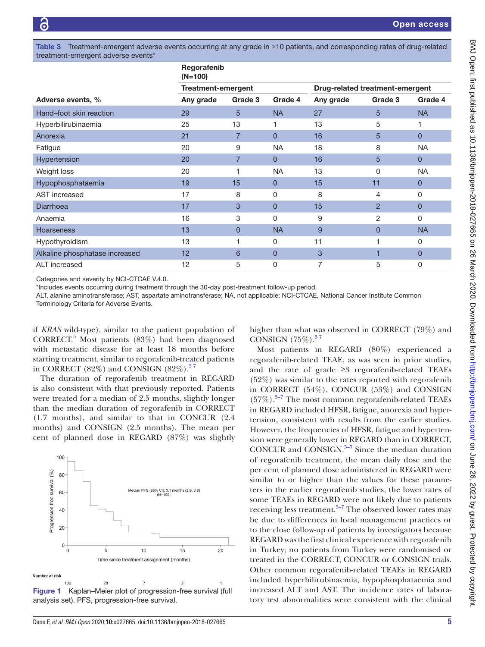<span id="page-4-0"></span>Table 3 Treatment-emergent adverse events occurring at any grade in ≥10 patients, and corresponding rates of drug-related treatment-emergent adverse events\*

|                                | Regorafenib<br>$(N=100)$  |                |           |                                 |                |           |  |  |
|--------------------------------|---------------------------|----------------|-----------|---------------------------------|----------------|-----------|--|--|
|                                | <b>Treatment-emergent</b> |                |           | Drug-related treatment-emergent |                |           |  |  |
| Adverse events, %              | Any grade                 | Grade 3        | Grade 4   | Any grade                       | Grade 3        | Grade 4   |  |  |
| Hand-foot skin reaction        | 29                        | 5              | <b>NA</b> | 27                              | 5              | <b>NA</b> |  |  |
| Hyperbilirubinaemia            | 25                        | 13             |           | 13                              | 5              | 1         |  |  |
| Anorexia                       | 21                        | $\overline{7}$ | $\Omega$  | 16                              | 5              | $\Omega$  |  |  |
| Fatigue                        | 20                        | 9              | <b>NA</b> | 18                              | 8              | <b>NA</b> |  |  |
| Hypertension                   | 20                        | $\overline{7}$ | $\Omega$  | 16                              | 5              | $\Omega$  |  |  |
| Weight loss                    | 20                        | 1              | <b>NA</b> | 13                              | 0              | <b>NA</b> |  |  |
| Hypophosphataemia              | 19                        | 15             | $\Omega$  | 15                              | 11             | $\Omega$  |  |  |
| AST increased                  | 17                        | 8              | 0         | 8                               | 4              | 0         |  |  |
| Diarrhoea                      | 17                        | 3              | $\Omega$  | 15                              | 2              | 0         |  |  |
| Anaemia                        | 16                        | 3              | 0         | 9                               | $\overline{2}$ | 0         |  |  |
| <b>Hoarseness</b>              | 13                        | $\overline{0}$ | <b>NA</b> | 9                               | $\overline{0}$ | <b>NA</b> |  |  |
| Hypothyroidism                 | 13                        |                | 0         | 11                              |                | 0         |  |  |
| Alkaline phosphatase increased | 12                        | 6              | $\Omega$  | 3                               |                | $\Omega$  |  |  |
| ALT increased                  | 12                        | 5              | 0         | 7                               | 5              | 0         |  |  |

Categories and severity by NCI-CTCAE V.4.0.

\*Includes events occurring during treatment through the 30-day post-treatment follow-up period.

ALT, alanine aminotransferase; AST, aspartate aminotransferase; NA, not applicable; NCI-CTCAE, National Cancer Institute Common Terminology Criteria for Adverse Events.

if *KRAS* wild-type), similar to the patient population of CORRECT. [5](#page-7-2) Most patients (83%) had been diagnosed with metastatic disease for at least 18 months before starting treatment, similar to regorafenib-treated patients in CORRECT (82%) and CONSIGN  $(82\%)$ .<sup>57</sup>

The duration of regorafenib treatment in REGARD is also consistent with that previously reported. Patients were treated for a median of 2.5 months, slightly longer than the median duration of regorafenib in CORRECT (1.7 months), and similar to that in CONCUR (2.4 months) and CONSIGN (2.5 months). The mean per cent of planned dose in REGARD (87%) was slightly



<span id="page-4-1"></span>Figure 1 Kaplan–Meier plot of progression-free survival (full analysis set). PFS, progression-free survival.

higher than what was observed in CORRECT (79%) and CONSIGN  $(75\%)$ .<sup>57</sup>

Most patients in REGARD (80%) experienced a regorafenib-related TEAE, as was seen in prior studies, and the rate of grade ≥3 regorafenib-related TEAEs (52%) was similar to the rates reported with regorafenib in CORRECT (54%), CONCUR (53%) and CONSIGN  $(57\%)$ .<sup>5–7</sup> The most common regorafenib-related TEAEs in REGARD included HFSR, fatigue, anorexia and hypertension, consistent with results from the earlier studies. However, the frequencies of HFSR, fatigue and hypertension were generally lower in REGARD than in CORRECT, CONCUR and CONSIGN.[5–7](#page-7-2) Since the median duration of regorafenib treatment, the mean daily dose and the per cent of planned dose administered in REGARD were similar to or higher than the values for these parameters in the earlier regorafenib studies, the lower rates of some TEAEs in REGARD were not likely due to patients receiving less treatment. $5\frac{5}{7}$  The observed lower rates may be due to differences in local management practices or to the close follow-up of patients by investigators because REGARD was the first clinical experience with regorafenib in Turkey; no patients from Turkey were randomised or treated in the CORRECT, CONCUR or CONSIGN trials. Other common regorafenib-related TEAEs in REGARD included hyperbilirubinaemia, hypophosphataemia and increased ALT and AST. The incidence rates of laboratory test abnormalities were consistent with the clinical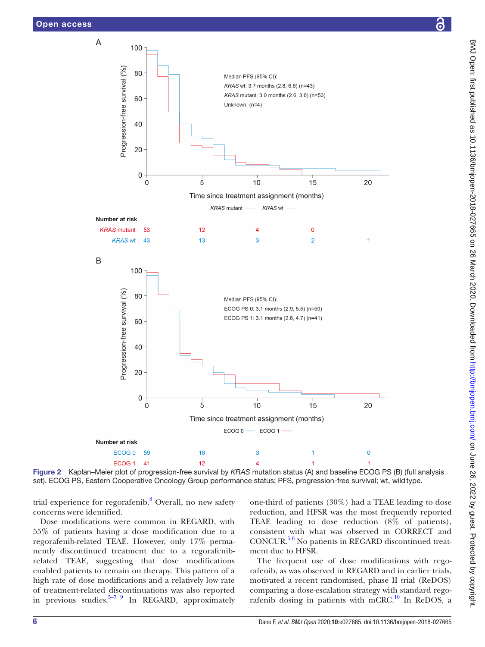

Figure 2 Kaplan–Meier plot of progression-free survival by *KRAS* mutation status (A) and baseline ECOG PS (B) (full analysis set). ECOG PS, Eastern Cooperative Oncology Group performance status; PFS, progression-free survival; wt, wildtype.

trial experience for regorafenib.<sup>[8](#page-7-5)</sup> Overall, no new safety concerns were identified.

Dose modifications were common in REGARD, with 55% of patients having a dose modification due to a regorafenib-related TEAE. However, only 17% permanently discontinued treatment due to a regorafenibrelated TEAE, suggesting that dose modifications enabled patients to remain on therapy. This pattern of a high rate of dose modifications and a relatively low rate of treatment-related discontinuations was also reported in previous studies. $5-7.9$  In REGARD, approximately <span id="page-5-0"></span>one-third of patients (30%) had a TEAE leading to dose reduction, and HFSR was the most frequently reported TEAE leading to dose reduction (8% of patients), consistent with what was observed in CORRECT and CONCUR.[5 6](#page-7-2) No patients in REGARD discontinued treatment due to HFSR.

The frequent use of dose modifications with regorafenib, as was observed in REGARD and in earlier trials, motivated a recent randomised, phase II trial (ReDOS) comparing a dose-escalation strategy with standard regorafenib dosing in patients with mCRC. $^{10}$  $^{10}$  $^{10}$  In ReDOS, a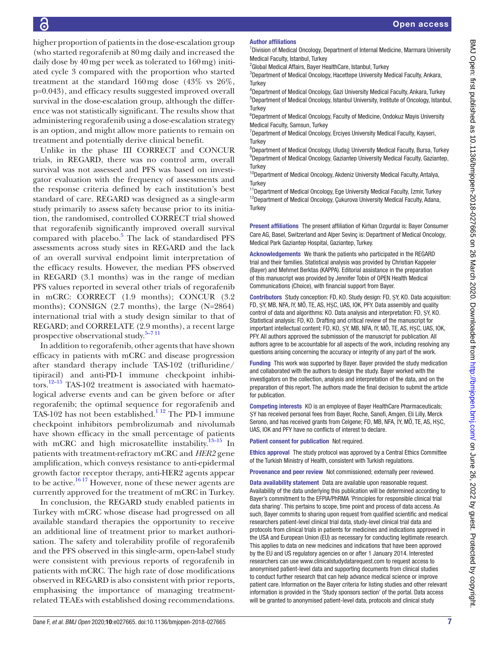higher proportion of patients in the dose-escalation group (who started regorafenib at 80mg daily and increased the daily dose by 40mg per week as tolerated to 160mg) initiated cycle 3 compared with the proportion who started treatment at the standard 160mg dose (43% vs 26%, p=0.043), and efficacy results suggested improved overall survival in the dose-escalation group, although the difference was not statistically significant. The results show that administering regorafenib using a dose-escalation strategy is an option, and might allow more patients to remain on treatment and potentially derive clinical benefit.

Unlike in the phase III CORRECT and CONCUR trials, in REGARD, there was no control arm, overall survival was not assessed and PFS was based on investigator evaluation with the frequency of assessments and the response criteria defined by each institution's best standard of care. REGARD was designed as a single-arm study primarily to assess safety because prior to its initiation, the randomised, controlled CORRECT trial showed that regorafenib significantly improved overall survival compared with placebo.<sup>[5](#page-7-2)</sup> The lack of standardised PFS assessments across study sites in REGARD and the lack of an overall survival endpoint limit interpretation of the efficacy results. However, the median PFS observed in REGARD (3.1 months) was in the range of median PFS values reported in several other trials of regorafenib in mCRC: CORRECT (1.9 months); CONCUR (3.2 months); CONSIGN (2.7 months), the large (N=2864) international trial with a study design similar to that of REGARD; and CORRELATE (2.9 months), a recent large prospective observational study.<sup>[5–7 11](#page-7-2)</sup>

In addition to regorafenib, other agents that have shown efficacy in patients with mCRC and disease progression after standard therapy include TAS-102 (trifluridine/ tipiracil) and anti-PD-1 immune checkpoint inhibitors[.12–15](#page-7-7) TAS-102 treatment is associated with haematological adverse events and can be given before or after regorafenib; the optimal sequence for regorafenib and TAS-102 has not been established.<sup>[1 12](#page-7-0)</sup> The PD-1 immune checkpoint inhibitors pembrolizumab and nivolumab have shown efficacy in the small percentage of patients with mCRC and high microsatellite instability.<sup>13-15</sup> In patients with treatment-refractory mCRC and *HER2* gene amplification, which conveys resistance to anti-epidermal growth factor receptor therapy, anti-HER2 agents appear to be active.[16 17](#page-7-9) However, none of these newer agents are currently approved for the treatment of mCRC in Turkey.

In conclusion, the REGARD study enabled patients in Turkey with mCRC whose disease had progressed on all available standard therapies the opportunity to receive an additional line of treatment prior to market authorisation. The safety and tolerability profile of regorafenib and the PFS observed in this single-arm, open-label study were consistent with previous reports of regorafenib in patients with mCRC. The high rate of dose modifications observed in REGARD is also consistent with prior reports, emphasising the importance of managing treatmentrelated TEAEs with established dosing recommendations.

#### Author affiliations

<sup>1</sup> Division of Medical Oncology, Department of Internal Medicine, Marmara University Medical Faculty, Istanbul, Turkey

<sup>2</sup>Global Medical Affairs, Bayer HealthCare, Istanbul, Turkey

3 Department of Medical Oncology, Hacettepe University Medical Faculty, Ankara, **Turkey** 

4 Department of Medical Oncology, Gazi University Medical Faculty, Ankara, Turkey <sup>5</sup>Department of Medical Oncology, Istanbul University, Institute of Oncology, Istanbul, **Turkey** 

<sup>6</sup>Department of Medical Oncology, Faculty of Medicine, Ondokuz Mayis University Medical Faculty, Samsun, Turkey

<sup>7</sup>Department of Medical Oncology, Erciyes University Medical Faculty, Kayseri, **Turkey** 

<sup>8</sup>Department of Medical Oncology, Uludağ University Medical Faculty, Bursa, Turkey 9 Department of Medical Oncology, Gaziantep University Medical Faculty, Gaziantep, **Turkey** 

<sup>10</sup>Department of Medical Oncology, Akdeniz University Medical Faculty, Antalya, **Turkey** 

<sup>11</sup>Department of Medical Oncology, Ege University Medical Faculty, İzmir, Turkey <sup>12</sup>Department of Medical Oncology, Çukurova University Medical Faculty, Adana, **Turkey** 

Present affiliations The present affiliation of Kirhan Ozgurdal is: Bayer Consumer Care AG, Basel, Switzerland and Alper Sevinç is: Department of Medical Oncology, Medical Park Gaziantep Hospital, Gaziantep, Turkey.

Acknowledgements We thank the patients who participated in the REGARD trial and their families. Statistical analysis was provided by Christian Kappeler (Bayer) and Mehmet Berktas (KAPPA). Editorial assistance in the preparation of this manuscript was provided by Jennifer Tobin of OPEN Health Medical Communications (Choice), with financial support from Bayer.

Contributors Study conception: FD, KO. Study design: FD, ŞY, KO. Data acquisition: FD, ŞY, MB, NFA, IY, MÖ, TE, AS, HŞC, UAS, IOK, PFY. Data assembly and quality control of data and algorithms: KO. Data analysis and interpretation: FD, ŞY, KO. Statistical analysis: FD, KO. Drafting and critical review of the manuscript for important intellectual content: FD, KO, ŞY, MB, NFA, IY, MÖ, TE, AS, HŞC, UAS, IOK, PFY. All authors approved the submission of the manuscript for publication. All authors agree to be accountable for all aspects of the work, including resolving any questions arising concerning the accuracy or integrity of any part of the work.

Funding This work was supported by Bayer. Bayer provided the study medication and collaborated with the authors to design the study. Bayer worked with the investigators on the collection, analysis and interpretation of the data, and on the preparation of this report. The authors made the final decision to submit the article for publication.

Competing interests KO is an employee of Bayer HealthCare Pharmaceuticals; ŞY has received personal fees from Bayer, Roche, Sanofi, Amgen, Eli Lilly, Merck Serono, and has received grants from Celgene; FD, MB, NFA, İY, MÖ, TE, AS, HŞC, UAS, IOK and PFY have no conflicts of interest to declare.

Patient consent for publication Not required.

Ethics approval The study protocol was approved by a Central Ethics Committee of the Turkish Ministry of Health, consistent with Turkish regulations.

Provenance and peer review Not commissioned; externally peer reviewed.

Data availability statement Data are available upon reasonable request. Availability of the data underlying this publication will be determined according to Bayer's commitment to the EFPIA/PhRMA 'Principles for responsible clinical trial data sharing'. This pertains to scope, time point and process of data access. As such, Bayer commits to sharing upon request from qualified scientific and medical researchers patient-level clinical trial data, study-level clinical trial data and protocols from clinical trials in patients for medicines and indications approved in the USA and European Union (EU) as necessary for conducting legitimate research. This applies to data on new medicines and indications that have been approved by the EU and US regulatory agencies on or after 1 January 2014. Interested researchers can use www.clinicalstudydatarequest.com to request access to anonymised patient-level data and supporting documents from clinical studies to conduct further research that can help advance medical science or improve patient care. Information on the Bayer criteria for listing studies and other relevant information is provided in the 'Study sponsors section' of the portal. Data access will be granted to anonymised patient-level data, protocols and clinical study